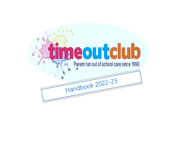<span id="page-0-0"></span>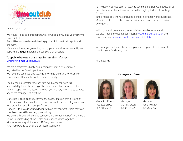

We would like to take this opportunity to welcome you and your family to Time-Out Club.

Since 1990, we have been delivering quality childcare in Milngavie and Bearsden.

We are a voluntary organisation, run by parents and for sustainability we depend and **require** parents on our Board of Directors'

# To apply to become a board member: email for information

[Directors@timeout.club.co.uk](mailto:Directors@timeout.club.co.uk) 

We are a registered charity and a company limited by guarantee, regulated by the Care Inspectorate.

We have five separate play settings, providing child care for over two hundred and fifty families within our community.

The Managing Director together with two Managers, have full responsibility for all the settings. The principle contacts should be the settings' supervisor and team; however, you are very welcome to contact any of the managers at any time.

Our ethos is child-centred, community based, and our profile is one of professionalism, that enables us to work within the required legislative and regulatory framework of our profession.

Our aim is to provide your child/ren with an environment where they can play, learn new skills, and enjoy socialising.

We ensure that we will employ confident and competent staff, who have a sound understanding of their roles and responsibilities together with experience, qualifications, SSSC registrations and PVG membership to enter the childcare workforce.

For holiday/in service care, all settings combine and staff work together at one of our four play settings (venue will be highlighted on all booking forms)

In this handbook, we have included general information and guidelines. More in-depth information on our policies and procedures are available on request.

Whilst your child/ren attend, we will deliver newsbytes via email. We also frequently update our website [www.time-outclub.co.uk](http://www.time-outclub.co.uk/) and Facebook page [www.facebook.com/Time-Out-Club](file://///LS210DEC6/TOC_Data/Welcome%20Pack/2016-17/www.facebook.com/Time-Out-Club)

We hope you and your child/ren enjoy attending and look forward to meeting your family very soon.

Kind Regards

# Management Team



Managing Director Manager Manager Celeste Gilbey Moira Dickson Paula McLean 07980 597380 07837338647 07854455560

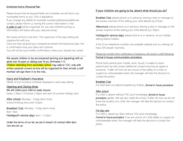#### Enrolment forms /Personal Plan

Please ensure that all required fields are complete, we will return any incomplete forms to you. (This is legislation)

If you change any details for example numbers/addresses/additional contact, please inform us, having the correct information is vital. *A settle in visit* will be organised, for any new child/ren joining us. Information will follow with your welcome email.

We review all forms mid-term. The supervisor of the play setting will organise this with you.

Once we have received your renewed enrolment form/personal plan, this is confirmation that your place will continue.

You will not be issue written confirmation unless your request has varied.

We require children to be accompanied (arriving and departing) with an adult over 16 years or sibling over 14 yrs. (Primaries 1-7) Children attending from secondary school may walk to TOC; only with written parental consent (a time will be organised for their arrival); a staff member will sign them in to the rota.

### Injury and Employer's Insurance

Details of our insurance schedule displayed in each play setting.

#### Opening and Closing times We will collect your child on early closure:

Easter 2.30pm, Christmas 2.30pm and start of summer holidays 1pm

After school: Monday – Friday (term time): School finishing time until 5.55pm.

Breakfast Club: Monday – Friday (term-time) 8am -9am. Holidays/In-service days: 8am – 5.55pm

Under the terms of our let, we are in breach of contract after 6pm (See late pick up)

# If your child/ren are going to be, absent what should you do?

Breakfast Club: please phone us in advance, leaving a text or message on the answer machine of the setting your child attends by 8.15am.

Afterschool: please phone us in advance, leaving a text or message on the answer machine of the setting your child attends by 2.30pm.

Holidays/In-service days: please phone us in advance, at our holiday setting before 9.00am.

A list of our telephone numbers are available website and our settings all have 24h answer machines.

### Please be mindful Non-notification of absence; will result in staff following Formal In house communication procedure.

Phone both parent/carer mobile, work, house, if unable to reach parent/carer we will contact additional contact ensuring we speak to someone. If after 20 mins we are unsure of the safety of a child, or suspect an unforeseeable event, the manager will take the decision to contact the police.

#### Breakfast Club

If a child does not attend breakfast by 8.30am, *formal in house procedure*

### After school

If a child is, absent without TOC prior knowledge, *formal in house procedure* applies. We will also notify the school. If after 20 mins we do not know the location of a child, the manager will take the decision to contact the police.

### Full day care

If a child is, absent by 10am without TOC prior knowledge. *Formal in house procedure*: If we are unsure of a child safety or suspect an unforeseeable event, the manager will take the decision to contact the police.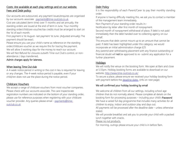### Costs: Are available at each play settings and on our website. Fees and Debt policy:

Our accounts are outsourced, any payment issues/enquires are organised by our accounts associate: [payments@time-outclub.co.uk.](mailto:payments@time-outclub.co.uk)

Cost are calculated (term time) over 11 months and set annually, the standing orders are issued at the end of term in June. Your monthly standing order/childcare voucher/tax credits must be arranged to start on the 1st of each month.

First payment is 1st August- last payment 1st June. (Adjusted annually) The payment should be exact.

Please ensure you use your child's name as reference on the standing order/childcare voucher as we require this for tracing the payment. We will allow 3 working days for the money to reach our account.

We will Not Refund for closures outwith Time-out Club's control, or nonattendance / days transferred.

Admin charges apply for lateness.

### When leaving Time Out club

A 4-week notice period in writing or the cost in lieu is required for leaving or any changes. The 4-week notice period is payable, even if your child/ren does not use the place during the notice period.

### Childcare Vouchers

We accept a range of childcare vouchers from most voucher companies. Please check with our accounts associate. The care inspectorate registration numbers are indicated on the bottom of your standing order, please use for reference purposes when registering with your childcare voucher provider. Any queries please email - [payments@time](mailto:payments@time-outclub.co.uk)[outclub.co.uk](mailto:payments@time-outclub.co.uk)

### Debt Policy

It is the responsibility of each Parent/Carer to pay their monthly standing order.

If anyone is having difficulty meeting this, we ask you to contact a member of the management team immediately.

Non-Payment of your standing order results in:-

Notification by letter after first month of nonpayment.

Second month of nonpayment withdrawal of place, if debt is not paid immediately then the debt handed over to collecting agency on our behalf*.*

This ensures that debt cannot mount up to an amount that cannot be paid. If debt has been highlighted under this category, we would incorporate an initial administration charge £25

Any parent/carer withdrawing placement with any finance outstanding or financial doubt will not be approved to re- submit any application for a further placement.

### Holidays

We will notify the venue on the booking form. We open at 8am and close at 5.55pm. Holiday booking forms are available to download on our website.<http://www.time-outclub.co.uk/>

To secure a place, please ensure we received your holiday booking form with payment before the [deadline dates.](#page-0-0) (info on next page)

### We will confirmed your holiday booking by email

We welcome all children from all our settings, including school age children that do not normally attend. Please complete all details on the booking form for processing purposes – including your child's Password We have a varied full day programme that includes many activities for all children to enjoy, indoor and outdoor play and days out.

All payments will be processed after the deadline date – unless otherwise stated.

We will provide breakfast and ask you to provide your child with a packed lunch together with snacks.

Please no nut products.

For morning, outings please ensure your child is in before 9am.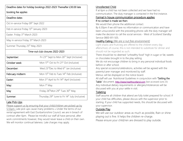### Deadline dates for holiday bookings 2022-2023 Thereafter £30.00 late

#### booking fee applies

### Deadline dates

Oct in-service Friday 09<sup>th</sup> Sept 2022

Feb in-service Friday 13<sup>th</sup> January 2023

Easter. Friday 3<sup>rd</sup> March 2023

May in-service Friday 31<sup>st</sup> March 2023

Summer Thursday 25<sup>th</sup> May 2023

### Time-out club closures 2022-2023

| September:       | Fri 23 <sup>rd</sup> Sept to Mon 26 <sup>th</sup> Sept (inclusive)      |
|------------------|-------------------------------------------------------------------------|
| October week     | Mon 17 <sup>th</sup> Oct to Fri 21 <sup>st</sup> Oct (inclusive)        |
| December:        | Wed $23^{\text{rd}}$ Dec to Wed $6^{\text{th}}$ Jan (inclusive)         |
| February midterm | Mon 13 <sup>th</sup> Feb to Tues 14 <sup>th</sup> Feb (inclusive)       |
| Easter:          | Mon 3rd April to Fri 14th April (inclusive)                             |
| May:             | Mon 1 <sup>st</sup> May                                                 |
| May              | Friday 26 <sup>th</sup> Mon 29 <sup>th</sup> Tues 30 <sup>th</sup> May  |
| Summer:          | Thursday 29 <sup>th</sup> June to Fri 14 <sup>th</sup> July (inclusive) |

# Late Pick-Ups

Please support us by ensuring that your child/children are picked up by 5.55pm. Late pick-ups cause many problems – Under the terms of our rental agreement with East Dunbartonshire Council, we are in breach of contract after 6pm. Please be mindful our staff all have personal, after work commitments however, they would never leave a child on their own. We will monitor continual lateness. Late charges may apply.

# Uncollected Child

If at 6pm a child has not been collected and we have had no communication. The duty manager is contacted in the first instance.

### Formal In house communication procedure applies

### If no contact is made we then:

We would then phone the additional contact.

By 6.30pm if we still have no information or communication and have been unsuccessful with the preceding phone calls the duty manager will make the decision to call the social services - West of Scotland Standby Service 0800-811-505.

# Healthy Eating *(We are a nut free environment)*

Light snacks and fruit/veg are offered to the children every day afterschool, of course, this is not intended to substitute for dinner and should not be regarded as such.

There should be no deemed "unhealthy food" high in sugar or fat; sweets or chocolates brought in to the play setting.

We do not encourage children to bring in any personal individual foods before or after school.

Any special occasions/celebrations, activities will be agreed with the parents/carer manager and monitored by staff.

Menus; will be displayed on the notice board.

All staff will use Nutritional Guidelines in conjunction with "Setting the Table" document. [http://www.healthscotland.com](http://www.healthscotland.com/) (last accessed June 23) Any individual dietary requirements or allergies/intolerances will be discussed with you at your settle in visit.

### **Toileting**

Staff assume all children that attend are fully toilet prepared for school. If your child has difficulties, please discuss with the supervisor prior to starting. If your child has supported needs, this should be discussed with your supervisor.

# Outside Play

We will use our outdoor areas as much as possible, Rain or shine playing out is fine. It helps the children re-charge. Please ensure your child/ren are dressed to play outside.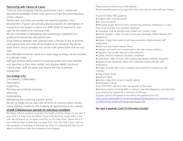### Partnership with Parents & Carers

Time-out Club recognises that the parent/carer have a unique and specialised knowledge of their child, and as such are the prime educators of their children.

Parent/carer and child-care workers are essential partners in the development of good care and educational practices. An atmosphere of mutual trust and respect is vital to our staff's ability to respond to, and cater for the needs of an individual child.

We are committed to developing and maintaining a respectful and professional partnership with parent/carer.

Good relations between staff, parents/carers is the key to this at all times. Each parent/carer and child will be treated as an individual. We will set aside time to discuss privately any concern with parent/carer that we may have.

Any difficulties should be raised at an early stage so things can be resolved in a delicate matter.

Staff give positive reinforcement to working parents and show flexibility and openness to their views, wishes, and religious beliefs, racial and cultural origin. Staff are aware and respect the role of parental involvement.

### Our strategy is for:

- Consultation, Collaboration
- Participation
- Supporting
- Planning and achieving outcomes
- Informing
- Implementing

Maintaining and sustaining a quality service

We aim to target service users with all forms of communication, written, verbal, website, Facebook, text. Enabling all opportunities to be covered.

### Unwell Child/exclusion periods for infectious conditions

We follow national guidance to protect the health of all the children in our care. If your child is ill, they must not attend. If your child becomes unwell whilst in our care, we will phone you to agree a time for you to collect them. Please tell us if your child has been ill while they are away from Time-Out Club. If your child has had symptoms of vomiting or diarrhoea (or both), it is essential that they do not attend until 48 hours after the symptoms have stopped.

Please phone us before your child attends.

Recommended period to be kept from Time-Out Club for both staff and Children.

- •Covid 19: Follow NHS guidance.
- Coughs/Colds: Until recovered.
- Flu: Until recovered.
- Whooping cough: 48 hours from commencing antibiotic treatment or 21 days from onset of illness if no antibiotic treatment.
- Chickenpox: Until all vesicles have crusted over (usually 5 day)
- German measles: 4 days of onset of rash (see vulnerable children/female staff (pregnancy)
- Measles: 4 days from onset of rash (see vulnerable children/female staff (pregnancy)
- Hand, foot and mouth disease: None
- Impetigo: Until lesions are crusted/healed or 48hr after starting antibiotics.
- Ringworm: Not usually required unless extensive.
- Scabies: Until first treatment has been completed
- Scarlet Fever: After 24 hours after starting appropriate antibiotic treatment
- Slapped Cheek Syndrome: None (see vulnerable children/female staff (pregnancy)
- Shingles: Exclude only if rash is weeping and cannot be covered, e.g. with clothing
- Conjunctivitis: None
- Head lice: None
- Mumps: 5 days from onset of swollen glands
- Threadworms: None
- •Ecoli 0157VTEC\*: 48 hours from last episode of diarrhoea
- Diarrhoea and/or Vomiting (with or without a specified diagnosis) until diarrhoea and vomiting has cleared for a minimum of 48 hours.

*Exclusion periods will depend on the illness and guidance from GP*

[https://www.publichealth.hscni.net/sites/default/files/Guidance\\_on\\_infection\\_contr](https://www.publichealth.hscni.net/sites/default/files/Guidance_on_infection_control_in%20schools_poster.pdf) [ol\\_in%20schools\\_poster.pdf](https://www.publichealth.hscni.net/sites/default/files/Guidance_on_infection_control_in%20schools_poster.pdf) last accessed August 2021

### We have a separate Covid 19 information booklet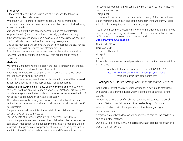#### **Emergency**

In the event of a child being injured whilst in our care, the following procedures will be undertaken:

When the injury is a minor accident/incident, it shall be treated as necessary by staff. Staff will inform parent/carer by phone or text following an injury to the head.

Staff will complete the accident/incident form and the parent/carer (responsible adult) who collects the child will sign, and retain a copy.

If the accident is more severe and a hospital visit is necessary, we shall use our formal in-house procedure for contacting parent/carer.

One of the managers will accompany the child to hospital and stay for the duration of the visit or until the parent/carer arrives.

Should a member of the management team not be available, the duty supervisor will carry out these duties. Our staff are trained in first aid procedures.

#### Medication

We have a Management of Medication procedure consisting of 5 stages. We train staff in the administration of medication.

If you require medication to be passed on to, your child's school, prior consent must be given by the school.

If your child requires any medication whilst attending, you will be required as per regulations to fill in the appropriate medication forms.

Parent/carer must give the first dose of any new medicine to ensure the child does not have an adverse reaction to the medication. This would not include emergency medication such as an adrenaline pen where the risk of not giving it could outweigh any adverse reaction.

All medication must be in original container, labeled with child's name, expiry date and information leaflet, that will be read by administering staff were possible.

The parent/carer will be notified immediately if the child refuses, it is spat out or an overdose is administered.

For the benefit of all service users, if a child becomes unwell we will contact the parent/carer and request their child to be collected as soon as possible. All medication will be audited monthly, expired medicine will be returned to the parent/carer or pharmacist. We reserve the right to refuse administration of invasive medical procedures and if the medicine does

not seem appropriate staff will contact the parent/carer to inform they will not be administering.

### **Complaints**

If you have issues regarding the day-to-day running of the play setting or a staff member, please alert one of the management team, they will deal with all matters as quickly and diplomatically as possible.

If you have a comment regarding any of the management team, or if you have a query concerning any decisions that have been made by the Board of Directors, you can also write to them or email.

[Directors@timeout.club.co.uk](mailto:Directors@timeout.club.co.uk) 

The Board of Directors, Time-Out Club C.E.Centre Allander Road Milngavie G62 8PN All complaints are treated in a diplomatic and confidential manner within a 20 day period

> Compliant to the Care Inspectorate Phone 0345 600 9527 <http://www.careinspectorate.com/index.php/complaints> Email: [enquiries@careinspectorate.com](mailto:enquiries@careinspectorate.com)

### Contingency & Closure Arrangements (See appendix 2– Covid 19)

In the unlikely event of a play setting closing for a day due to staff illness an outbreak, or extreme adverse weather conditions or school closure. We will:

Contact the parent/carer, if unable to reach, we will contact additional contact. Stating day of closure and foreseeable length of closure.

When applicable, notify the appropriate authorities regarding a pandemic/outbreak

If registration numbers allow, we will endeavour to care for the children in one of our other settings.

Our aim will be to ensure that no parent is without care for his or her child that is within our control.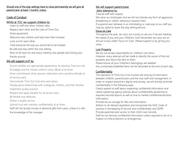### Should one of the play settings have to close permanently we will give all parent/carer at least 1 months' notice.

# Code of Conduct

# Whilst at TOC we support children to:

Listen to staff and other children alike.

Respect each other and the rules of Time-Out.

Share equipment.

Welcome new children and help them feel involved.

Look out for each other.

Treat everyone the way you would like to be treated.

Be safe and stay within the club setting.

Most of all have fun and enjoy meeting new people and having your friends around.

# We will support staff to:

Ensure suitable and appropriate appearance, by wearing Time out club ID badges and the chosen uniform colour (Blue) at all times.

Show commitment, drive, passion, dedication and a positive attitude to all service users.

Demonstrate Time Out Club aims and values.

Display good relationships with colleagues, children, and their families. Implement quality practice.

Respect and apply equality for all service users.

Be flexible and reflective.

Deliver a quality service.

Uphold trust and maintain confidentiality at all times.

Staff will not accept money or personal gifts from users, unless it is with the knowledge of the manager.

# We will support parent/carer Zero tolerance to:

Treat all staff with respect.

We value our employees and we will not tolerate any form of aggressive, threatening or violent, behaviour towards them.

If a parent/carer behaves in an intimidating or rude way to our staff you may be, asked to leave the play setting/service.

# Focus on Care

Throughout the year, we carry out surveys to ask you if we are meeting the needs of you and your child/ren. Each November we carry out an annual survey called 'Focus on Care'. Please support us by giving your views.

# Lost Property

We do not accept responsibility for children's lost items. However, every attempt will be made to identify the owner of the lost property and return the item to them.

Please ensure all your child/ren's belongings are labelled.

Any unclaimed/unlabelled items will be discarded at the end of each day.

# **Confidentiality**

The operation of Time-Out Club involves the sharing of information between children, parent/carers and the club staff and management. In order to respect everyone's dignity and privacy, we will actively promote confidentiality in the following ways:

Clearly explain to staff about respecting confidential information and clearly explaining agency policies about confidentiality pertaining to required records/reports as well as how to handle confidential/sensitive information.

Provide secure storage for files and information.

Adhere to all relevant legislation and incorporate the SSSC Code of practice in the keeping of records and confidentiality and GDPR. Provide parental/carer access to their child's own records.

Staff do not disclose confidential information unless required to do so in matters of child protection or emergencies.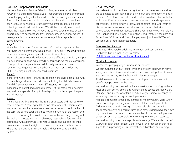### Exclusion - Inappropriate Behaviour

We use a Promoting Positive Behaviour Programme on a daily basis however, if a child displays negative or inappropriate behaviour or breaks one of the play setting rules, they will be asked to stop by a member staff. If a child has threatened or physically hurt another child or there have been repeated behavioural issues, parents/named responsible person collecting the child will be informed. We will then formally record and follow the stages below: We will keep the parent/carer informed at every opportunity with openness and transparency around decision-making. If parent/carer is unable to attend any meetings, it is acceptable to put any points in writing.

### Stage 1

When the child's parent/carer has been informed and appears to be no improvement in behaviour within a period (1-4 weeks) 1<sup>st</sup> meeting with the supervisor, a manager, and parent/ carer will take place.

We will discuss any outside influences that are affecting behaviour, and put in place positive supporting methods. At this stage, we require consistency of support from the parent/carer additionally we require consent to communicate frequently with the school/ class teacher to follow the GIRFEC (Getting it right for every child) approach.

### Stage 2

If after two weeks there is insufficient change in the child's behaviour, with no underlying/ external issues identified affecting the child's behaviour. The child's parents/carer will attend 2<sup>nd</sup> meeting with supervisor, a manager, and parent and a Board member. At this stage, the placement may well be suspended for up to five days. Cost for this suspension period are still required.

### Stage 3

The managers will consult with the Board of Directors and seek advice on how to proceed. A meeting will then take place where the parent/carer may attend unless the service has a reasonable reason to exclude them. In this case, the parent/carer should be notified in writing of the reason and given the opportunity to provide their views to that meeting. Throughout the exclusion process, we must make every reasonable effort to work in partnership with a parent/carer to resolve issues and support the child. However, we reserve the right to terminate a placement without notice where the relationship is irreconcilable and detrimental to the child's welfare.

### Child Protection

We believe that children have the right to be completely secure and we are committed to protecting all children in our care from harm. We have dedicated Child Protection Officers who will act as a link between staff and authorities. If we believe any children to be at harm or in danger, we will act promptly in contacting the East Dunbartonshire social work team to discuss our concerns. We will not discuss our concerns first with parent/carers. We will not request to share your data. We will comply with East Dunbartonshire Council's "Promoting Good Practice in the Care and Protection of Children and Young People, in conjunction with West of Scotland Child Protection Procedures.

### Safeguarding Persons

To safeguard vulnerable adults we implement and consider East Dunbartonshire Council Policy link below: [Adult Protection | East Dunbartonshire Council](https://www.eastdunbarton.gov.uk/health-and-social-care/services-adults-and-older-people/adult-protection)

### **Quality Assurance**

In order to upkeep quality assurance in our service:

We self-evaluate our play setting, through playroom observation forms, surveys and discussions from all service users', comparing the outcomes with previous results, to stimulate and implement changes.

All staff receive full induction, access to training and obtain relevant qualification pertaining to their post.

We hold monthly pre planned staff team meetings and training to share ideas and plan activity timetables. All staff attend scheduled supervision. Managers and supervisors attend weekly quality assurance meetings to ensure high quality throughout each play setting.

Managers complete formal documented, bi-monthly quality visits, within each play setting, resulting in outcomes for future development plans. Children attend council meetings. Children help plan and organise special/social events and parent/carer open days. Children have their own toy committees to ensure children are involved in the purchasing of new equipment and are responsible for the caring for their own resources. We hold monthly parent managed board meetings. We are Members of SOSCN (Scottish out of School Care Network) an organisation that helps supports us in providing useful information, publications and training.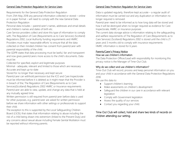### General Data Protection Regulation for Service Users

Requirements for the General Data Protection Regulation

From 25th May 2018 any personal information collected or stored – online or in paper format – will need to comply with the new General Data Protection Regulation

Personal data includes – parent/carer's names, addresses and email details and children's names and dates of birth etc.

Care Service providers collect and store this type of information to comply with; The Regulation of Care (Requirements as to Care Services) (Scotland) Regulations 2002, Local Authority funding requirements and HMRC Providers must make 'reasonable efforts' to ensure that all the data collected on their minded children has consent from parent/carer with parental responsibility of the child.

The GDPR states that data processing must be lawful, fair and transparent and now gives parent/carers more access to the child's documents. Data must be:

Collected for specified, explicit and legitimate purposes

Minimal - adequate, relevant and limited to those which are necessary Accurate and kept up-to-date

Stored for no longer than necessary and kept secure

Parent/carer can withhold permission but the ICO and Care Inspectorate must be informed before it is deleted as it might mean that the Provider is in breach of the; The Regulation of Care (Requirements as to Care Services)(Scotland) Regulations 2002 HMRC or Insurance requirements Parent/carer are able to view, update, and change any data that is held at any mutually agreed time.

Written permission is still required from parent/carer before data is used for other purposes, e.g. parent/carer are asked for written permission before we share information with other settings or professionals to support their child.

The exception to this is supported by the Local Safeguarding Children Board (LSCB,) that states that information relating to abuse including the risk of a child being drawn into extremism (linked to the Prevent Duty) and any concerns about sexual abuse including Female Genital Mutilation must be reported without informing parents.

### General Data Protection Regulation for Service Users

Data is updated regularly, therefore kept accurate – a regular audit of information must be carried out and any duplication or information no longer required is removed.

Parent/carer need to be informed as to how long data will be stored and how it will be destroyed when no longer required as evidence for Care Inspectorate, HMRC or insurance purposes

The current data storage advice is information relating to the safeguarding and welfare requirements of The Regulation of Care (Requirements as to Care Services) (Scotland) Regulations 2002 is stored until the child is 21 years and 3 months old to comply with insurance requirements HMRC information is stored for 6 years

### Parents/Carer's Privacy Notice

### How we use children's information

The Data Protection Officer/Lead with responsibility for monitoring this privacy notice is the Manager of Time-Out Club.

### Why do we collect and use children's information?

Time-Out Club will record, process and keep personal information on you and your child in accordance with the General Data Protection Regulations 2018.

We use this data to:

- Support children's learning
- Make assessments on children's development
- Safeguard the children in our care in accordance with relevant legislation
- Comply with Government legislation
- Assess the quality of our services
- Contact you regarding your child.

# Time Out Club will collect, hold and share two kinds of records on children attending our setting.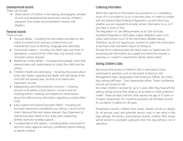### Developmental records

These can include:

• Observations of children in the setting, photographs, samples of work and developmental assessment records, children's passports, floor books and presentation boards, wall display's.

# Personal records

These include:

- Personal details including the information provided on the child's enrolment form and any consent forms and characteristics such as ethnicity, language and nationality.
- Contractual matters including the child's days and times of attendance, a record of the child's fees, any records of fee reminders and/or disputes
- Additional contact details including those people, other than parents/carers with authorisation to collect the child from the setting
- Children's health and well-being including discussions about every day matters regarding the health and well-being of the child with the parent/carer, records of accidents and medication records.
- Safeguarding and child protection concerns including records of all welfare and protection concerns and our resulting actions, meetings and telephone conversations about the child and any information regarding a Looked After Child
- Early support and Special Education Need including any focussed intervention provided by our setting, a record of the child's Personal Plan and, where relevant, their Statement of Special Education Need or EDC (Early years supporting families team) for funding support.
- Correspondence and reports including letters and emails to and from other agencies and any confidential reports relating to specific children

# Collecting information

Whilst the majority of information you provide to us is mandatory, some of it is provided to us on a voluntary basis. In order to comply with the General Data Protection Regulation, we will inform you whether you are required to provide certain information to us or if you have a choice in this.

The Regulation of Care (Requirements as to Care Services) (Scotland) Regulations 2002 place a legal obligation upon us to collect and process much of the information detailed above. Therefore, we do not require your consent to collect this information as we have a fair and lawful reason for doing so. All new forms collecting data will clearly state our lawful basis for processing the information you supply and where the request is voluntary or consent is required this will be clearly stated.

# Storing Children's Data

We ensure that access to children's files is restricted to those authorised to see them such as the board of directors, the Management team, designated Child Protection Officer, the child's play setting staff team. Care inspectorate officer. These confidential records are stored on site.

We retain children's records for up to 3 years after they have left the setting, except records that relate to an accident or child protection matter. These are kept until the child reaches the age of 21 years or 24 years respectively. For insurance purposes, we will keep records for accidents/ incidents for 40 years.

Presentation boards, children floor books, photos will be on display for all services users and potential service users to see whilst in the play settings. All photos, presentations boards, children floor books will be stored in a lockable cupboard when the play setting is not in operation.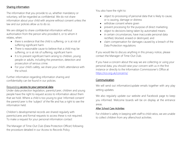# Sharing information

The information that you provide to us, whether mandatory or voluntary, will be regarded as confidential. We do not share information about your child with anyone without consent unless the law and our policies allow us to do so.

We are obliged to share confidential information without authorisation from the person who provided it, or to whom it relates, when:

- there is evidence that the child is suffering, or is at risk of suffering significant harm
- There is reasonable cause to believe that a child may be suffering, or is at risk of suffering, significant harm
- It is to prevent significant harm arising to children, young people or adults, including the prevention, detection and prosecution of serious crime.
- For your child's safety, we share your child's attendance with the school.

Further information regarding information sharing and confidentiality can be found in our policies.

### Requesting access to your personal data

Under data protection legislation, parents/carer, children and young people have the right to request access to information about them that we hold. Where a child is too young to give 'informed consent' the parent/carer is the 'subject' of the file and has a right to see the information held.

Children's developmental records are shared regularly with parents/cares and formal requests to access these is not required. To make a request for your personal information contact

The Manager of Time-Out Club (Data Protection Officer) following the procedure detailed in our Access to Records Policy.

You also have the right to:

- object to processing of personal data that is likely to cause, or is causing, damage or distress
- withdraw consent where given
- prevent processing for the purpose of direct marketing
- object to decisions being taken by automated means
- in certain circumstances, have inaccurate personal data rectified, blocked, erased or destroyed; and
- claim compensation for damages caused by a breach of the Data Protection regulations

If you would like to discuss anything in this privacy notice, please contact the Manager of Time-Out Club.

If you have a concern about the way we are collecting or using your personal data, you should raise your concern with us in the first instance or directly to the Information Commissioner's Office at <https://ico.org.uk/concerns/>

### Communication

We will send out information/update emails together with any play setting updates.

We also regularly update our website and Facebook page to keep you informed. Welcome boards will be on display at the entrance areas.

### After School Care Activities

For children's safety in keeping with staff to child ratios, we are unable to collect children from any afterschool activities.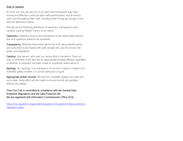#### Duty of candour

At Time out Club, we will: Act in an open and transparent way clear, honest and effective communication with parent/carers and all service users and throughout their care, including when things go wrong, in line with the definitions below.

We will use the following definitions of openness, transparency and candour used by Robert Francis in his report:

Openness: Enabling concerns and complaints to be raised freely without fear and questions asked to be answered.

Transparency: Allowing information about the truth about performance and outcomes to be shared with staff, people who use the service, the public and regulators.

Candour: Any person, who uses our service that is harmed in Time out club, is informed of the fact and an appropriate remedy offered, regardless of whether a complaint has been made or a question asked about it.

Apology: An 'apology' is an expression of sorrow or regret in respect of a notifiable safety incident; it is not an admission of guilt.

Appropriate written records: Records are complete, legible, accurate and up to date. Every effort will be made to ensure records are updated without any delays.

Time-Out Club is committed to compliance with the General Data Protection Regulations and the Data Protection Bill. We are registered with Information Commissioners Office (ICO)

[https://ico.org.uk/for-organisations/guide-to-the-general-data-protection](https://ico.org.uk/for-organisations/guide-to-the-general-data-protection-regulation-gdpr/)[regulation-gdpr/](https://ico.org.uk/for-organisations/guide-to-the-general-data-protection-regulation-gdpr/)